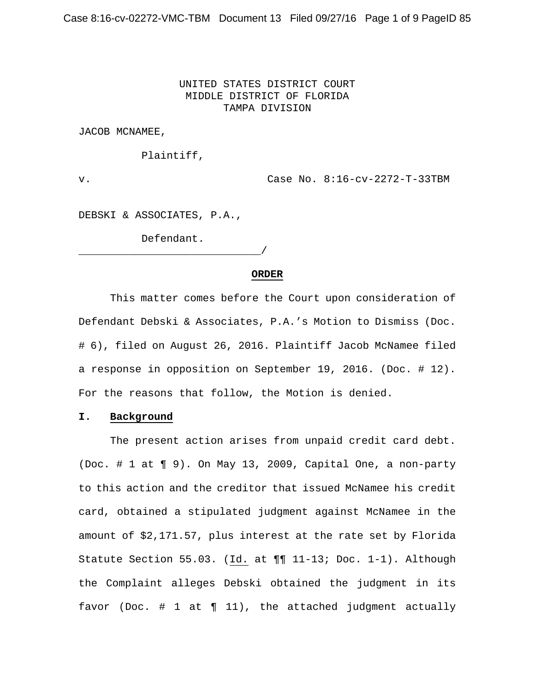## UNITED STATES DISTRICT COURT MIDDLE DISTRICT OF FLORIDA TAMPA DIVISION

JACOB MCNAMEE,

Plaintiff,

v. Case No. 8:16-cv-2272-T-33TBM

DEBSKI & ASSOCIATES, P.A.,

Defendant.

# \_\_\_\_\_\_\_\_\_\_\_\_\_\_\_\_\_\_\_\_\_\_\_\_\_\_\_\_\_/

#### **ORDER**

 This matter comes before the Court upon consideration of Defendant Debski & Associates, P.A.'s Motion to Dismiss (Doc. # 6), filed on August 26, 2016. Plaintiff Jacob McNamee filed a response in opposition on September 19, 2016. (Doc. # 12). For the reasons that follow, the Motion is denied.

### **I. Background**

 The present action arises from unpaid credit card debt. (Doc. # 1 at ¶ 9). On May 13, 2009, Capital One, a non-party to this action and the creditor that issued McNamee his credit card, obtained a stipulated judgment against McNamee in the amount of \$2,171.57, plus interest at the rate set by Florida Statute Section 55.03. (Id. at ¶¶ 11-13; Doc. 1-1). Although the Complaint alleges Debski obtained the judgment in its favor (Doc.  $# 1$  at  $\P 11$ ), the attached judgment actually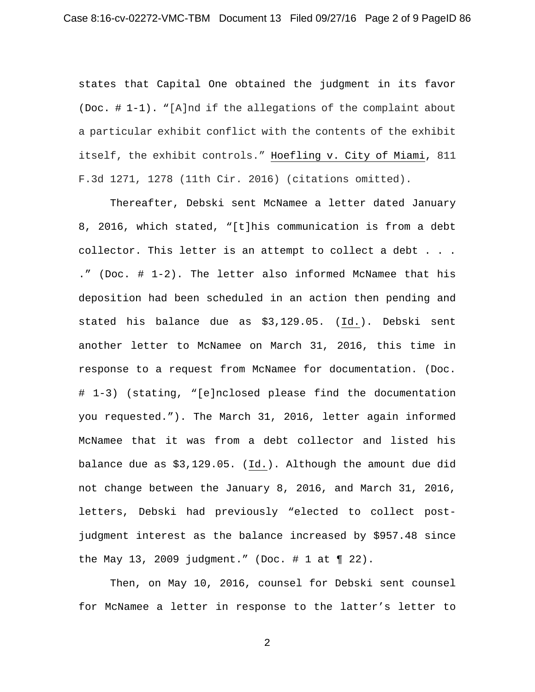states that Capital One obtained the judgment in its favor (Doc. # 1-1). "[A]nd if the allegations of the complaint about a particular exhibit conflict with the contents of the exhibit itself, the exhibit controls." Hoefling v. City of Miami, 811 F.3d 1271, 1278 (11th Cir. 2016) (citations omitted).

 Thereafter, Debski sent McNamee a letter dated January 8, 2016, which stated, "[t]his communication is from a debt collector. This letter is an attempt to collect a debt . . . ." (Doc. # 1-2). The letter also informed McNamee that his deposition had been scheduled in an action then pending and stated his balance due as \$3,129.05. (Id.). Debski sent another letter to McNamee on March 31, 2016, this time in response to a request from McNamee for documentation. (Doc. # 1-3) (stating, "[e]nclosed please find the documentation you requested."). The March 31, 2016, letter again informed McNamee that it was from a debt collector and listed his balance due as \$3,129.05. (Id.). Although the amount due did not change between the January 8, 2016, and March 31, 2016, letters, Debski had previously "elected to collect postjudgment interest as the balance increased by \$957.48 since the May 13, 2009 judgment." (Doc. # 1 at  $\P$  22).

 Then, on May 10, 2016, counsel for Debski sent counsel for McNamee a letter in response to the latter's letter to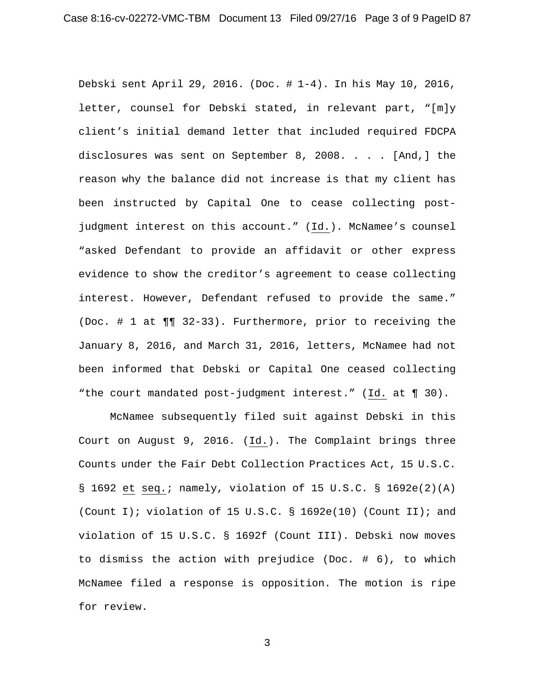Debski sent April 29, 2016. (Doc. # 1-4). In his May 10, 2016, letter, counsel for Debski stated, in relevant part, "[m]y client's initial demand letter that included required FDCPA disclosures was sent on September 8, 2008. . . . [And,] the reason why the balance did not increase is that my client has been instructed by Capital One to cease collecting postjudgment interest on this account." (Id.). McNamee's counsel "asked Defendant to provide an affidavit or other express evidence to show the creditor's agreement to cease collecting interest. However, Defendant refused to provide the same." (Doc. # 1 at ¶¶ 32-33). Furthermore, prior to receiving the January 8, 2016, and March 31, 2016, letters, McNamee had not been informed that Debski or Capital One ceased collecting "the court mandated post-judgment interest." (Id. at ¶ 30).

 McNamee subsequently filed suit against Debski in this Court on August 9, 2016. (Id.). The Complaint brings three Counts under the Fair Debt Collection Practices Act, 15 U.S.C. § 1692 et seq.; namely, violation of 15 U.S.C. § 1692e(2)(A) (Count I); violation of 15 U.S.C. § 1692e(10) (Count II); and violation of 15 U.S.C. § 1692f (Count III). Debski now moves to dismiss the action with prejudice (Doc. # 6), to which McNamee filed a response is opposition. The motion is ripe for review.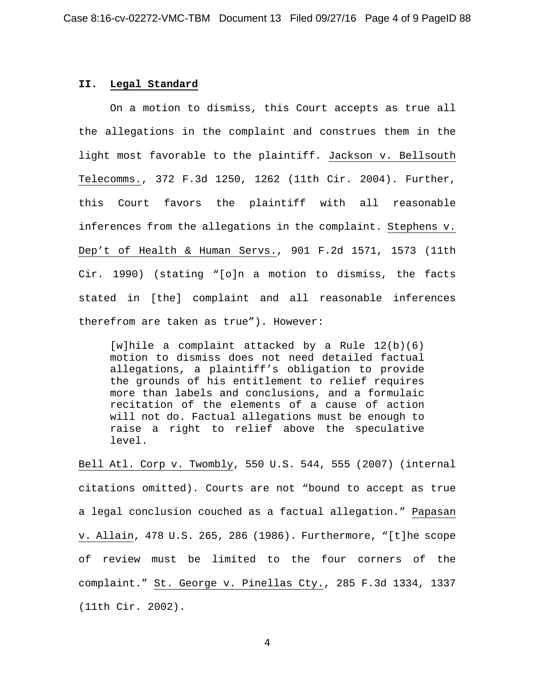### **II. Legal Standard**

 On a motion to dismiss, this Court accepts as true all the allegations in the complaint and construes them in the light most favorable to the plaintiff. Jackson v. Bellsouth Telecomms., 372 F.3d 1250, 1262 (11th Cir. 2004). Further, this Court favors the plaintiff with all reasonable inferences from the allegations in the complaint. Stephens v. Dep't of Health & Human Servs., 901 F.2d 1571, 1573 (11th Cir. 1990) (stating "[o]n a motion to dismiss, the facts stated in [the] complaint and all reasonable inferences therefrom are taken as true"). However:

[w]hile a complaint attacked by a Rule  $12(b)(6)$ motion to dismiss does not need detailed factual allegations, a plaintiff's obligation to provide the grounds of his entitlement to relief requires more than labels and conclusions, and a formulaic recitation of the elements of a cause of action will not do. Factual allegations must be enough to raise a right to relief above the speculative level.

Bell Atl. Corp v. Twombly, 550 U.S. 544, 555 (2007) (internal citations omitted). Courts are not "bound to accept as true a legal conclusion couched as a factual allegation." Papasan v. Allain, 478 U.S. 265, 286 (1986). Furthermore, "[t]he scope of review must be limited to the four corners of the complaint." St. George v. Pinellas Cty., 285 F.3d 1334, 1337 (11th Cir. 2002).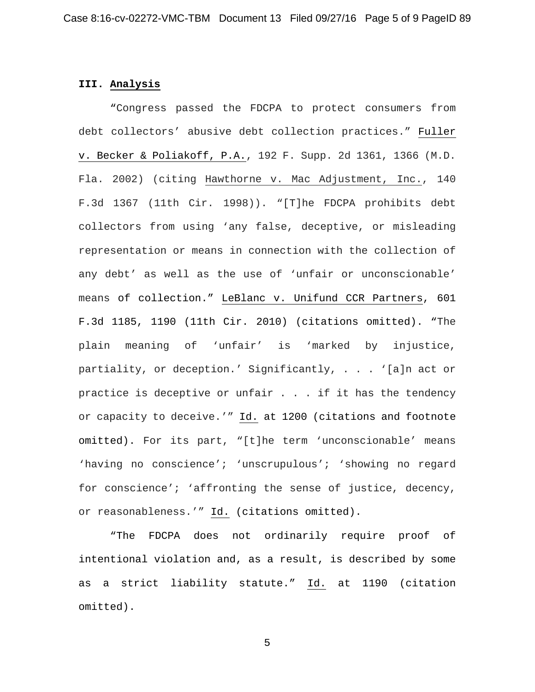### **III. Analysis**

 "Congress passed the FDCPA to protect consumers from debt collectors' abusive debt collection practices." Fuller v. Becker & Poliakoff, P.A., 192 F. Supp. 2d 1361, 1366 (M.D. Fla. 2002) (citing Hawthorne v. Mac Adjustment, Inc., 140 F.3d 1367 (11th Cir. 1998)). "[T]he FDCPA prohibits debt collectors from using 'any false, deceptive, or misleading representation or means in connection with the collection of any debt' as well as the use of 'unfair or unconscionable' means of collection." LeBlanc v. Unifund CCR Partners, 601 F.3d 1185, 1190 (11th Cir. 2010) (citations omitted). "The plain meaning of 'unfair' is 'marked by injustice, partiality, or deception.' Significantly, . . . '[a]n act or practice is deceptive or unfair . . . if it has the tendency or capacity to deceive.'" Id. at 1200 (citations and footnote omitted). For its part, "[t]he term 'unconscionable' means 'having no conscience'; 'unscrupulous'; 'showing no regard for conscience'; 'affronting the sense of justice, decency, or reasonableness.'" Id. (citations omitted).

 "The FDCPA does not ordinarily require proof of intentional violation and, as a result, is described by some as a strict liability statute." Id. at 1190 (citation omitted).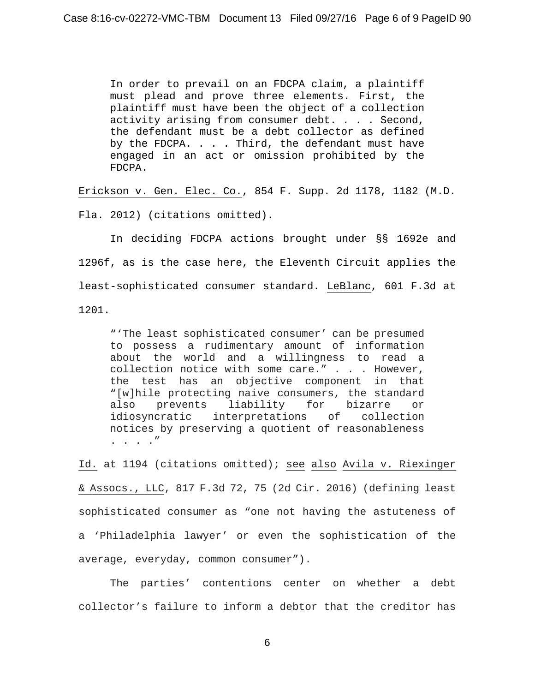In order to prevail on an FDCPA claim, a plaintiff must plead and prove three elements. First, the plaintiff must have been the object of a collection activity arising from consumer debt. . . . Second, the defendant must be a debt collector as defined by the FDCPA. . . . Third, the defendant must have engaged in an act or omission prohibited by the FDCPA.

Erickson v. Gen. Elec. Co., 854 F. Supp. 2d 1178, 1182 (M.D. Fla. 2012) (citations omitted).

 In deciding FDCPA actions brought under §§ 1692e and 1296f, as is the case here, the Eleventh Circuit applies the least-sophisticated consumer standard. LeBlanc, 601 F.3d at 1201.

"'The least sophisticated consumer' can be presumed to possess a rudimentary amount of information about the world and a willingness to read a collection notice with some care." . . . However, the test has an objective component in that "[w]hile protecting naive consumers, the standard also prevents liability for bizarre or idiosyncratic interpretations of collection notices by preserving a quotient of reasonableness . . . ."

Id. at 1194 (citations omitted); see also Avila v. Riexinger & Assocs., LLC, 817 F.3d 72, 75 (2d Cir. 2016) (defining least sophisticated consumer as "one not having the astuteness of a 'Philadelphia lawyer' or even the sophistication of the average, everyday, common consumer").

 The parties' contentions center on whether a debt collector's failure to inform a debtor that the creditor has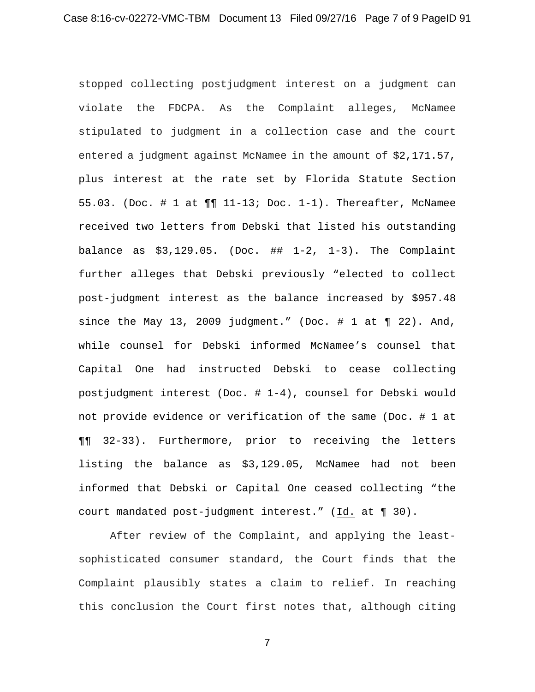stopped collecting postjudgment interest on a judgment can violate the FDCPA. As the Complaint alleges, McNamee stipulated to judgment in a collection case and the court entered a judgment against McNamee in the amount of \$2,171.57, plus interest at the rate set by Florida Statute Section 55.03. (Doc. # 1 at ¶¶ 11-13; Doc. 1-1). Thereafter, McNamee received two letters from Debski that listed his outstanding balance as  $$3,129.05$ . (Doc.  $\#$ # 1-2, 1-3). The Complaint further alleges that Debski previously "elected to collect post-judgment interest as the balance increased by \$957.48 since the May 13, 2009 judgment." (Doc.  $\#$  1 at  $\P$  22). And, while counsel for Debski informed McNamee's counsel that Capital One had instructed Debski to cease collecting postjudgment interest (Doc. # 1-4), counsel for Debski would not provide evidence or verification of the same (Doc. # 1 at ¶¶ 32-33). Furthermore, prior to receiving the letters listing the balance as \$3,129.05, McNamee had not been informed that Debski or Capital One ceased collecting "the court mandated post-judgment interest." (Id. at ¶ 30).

After review of the Complaint, and applying the leastsophisticated consumer standard, the Court finds that the Complaint plausibly states a claim to relief. In reaching this conclusion the Court first notes that, although citing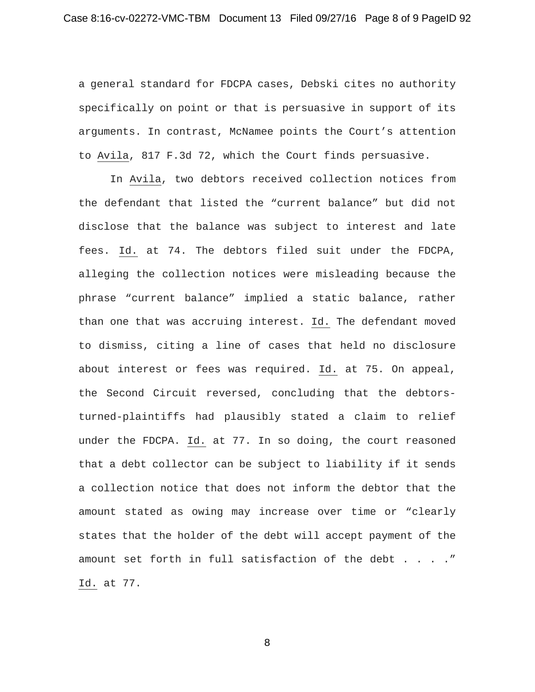a general standard for FDCPA cases, Debski cites no authority specifically on point or that is persuasive in support of its arguments. In contrast, McNamee points the Court's attention to Avila, 817 F.3d 72, which the Court finds persuasive.

 In Avila, two debtors received collection notices from the defendant that listed the "current balance" but did not disclose that the balance was subject to interest and late fees. Id. at 74. The debtors filed suit under the FDCPA, alleging the collection notices were misleading because the phrase "current balance" implied a static balance, rather than one that was accruing interest. Id. The defendant moved to dismiss, citing a line of cases that held no disclosure about interest or fees was required. Id. at 75. On appeal, the Second Circuit reversed, concluding that the debtorsturned-plaintiffs had plausibly stated a claim to relief under the FDCPA. Id. at 77. In so doing, the court reasoned that a debt collector can be subject to liability if it sends a collection notice that does not inform the debtor that the amount stated as owing may increase over time or "clearly states that the holder of the debt will accept payment of the amount set forth in full satisfaction of the debt . . . ." Id. at 77.